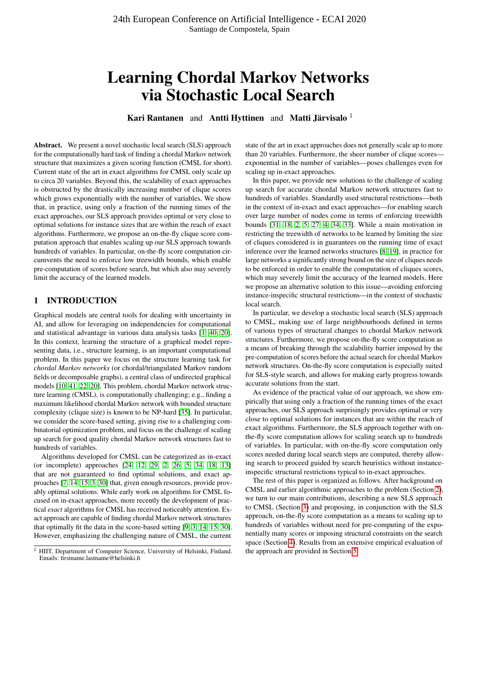# Learning Chordal Markov Networks via Stochastic Local Search

Kari Rantanen and Antti Hyttinen and Matti Järvisalo  $<sup>1</sup>$ </sup>

Abstract. We present a novel stochastic local search (SLS) approach for the computationally hard task of finding a chordal Markov network structure that maximizes a given scoring function (CMSL for short). Current state of the art in exact algorithms for CMSL only scale up to circa 20 variables. Beyond this, the scalability of exact approaches is obstructed by the drastically increasing number of clique scores which grows exponentially with the number of variables. We show that, in practice, using only a fraction of the running times of the exact approaches, our SLS approach provides optimal or very close to optimal solutions for instance sizes that are within the reach of exact algorithms. Furthermore, we propose an on-the-fly clique score computation approach that enables scaling up our SLS approach towards hundreds of variables. In particular, on-the-fly score computation circumvents the need to enforce low treewidth bounds, which enable pre-computation of scores before search, but which also may severely limit the accuracy of the learned models.

## 1 INTRODUCTION

Graphical models are central tools for dealing with uncertainty in AI, and allow for leveraging on independencies for computational and statistical advantage in various data analysis tasks [\[1,](#page-6-0) [40,](#page-7-0) [20\]](#page-7-1). In this context, learning the structure of a graphical model representing data, i.e., structure learning, is an important computational problem. In this paper we focus on the structure learning task for *chordal Markov networks* (or chordal/triangulated Markov random fields or decomposable graphs), a central class of undirected graphical models [\[10,](#page-6-1) [41,](#page-7-2) [22,](#page-7-3) [20\]](#page-7-1). This problem, chordal Markov network structure learning (CMSL), is computationally challenging; e.g., finding a maximum likelihood chordal Markov network with bounded structure complexity (clique size) is known to be NP-hard [\[35\]](#page-7-4). In particular, we consider the score-based setting, giving rise to a challenging combinatorial optimization problem, and focus on the challenge of scaling up search for good quality chordal Markov network structures fast to hundreds of variables.

Algorithms developed for CMSL can be categorized as in-exact (or incomplete) approaches [\[24,](#page-7-5) [12,](#page-6-2) [29,](#page-7-6) [2,](#page-6-3) [26,](#page-7-7) [5,](#page-6-4) [34,](#page-7-8) [18,](#page-7-9) [13\]](#page-6-5) that are not guaranteed to find optimal solutions, and exact approaches [\[7,](#page-6-6) [14,](#page-6-7) [15,](#page-6-8) [3,](#page-6-9) [30\]](#page-7-10) that, given enough resources, provide provably optimal solutions. While early work on algorithms for CMSL focused on in-exact approaches, more recently the development of practical *exact* algorithms for CMSL has received noticeably attention. Exact approach are capable of finding chordal Markov network structures that optimally fit the data in the score-based setting [\[9,](#page-6-10) [3,](#page-6-9) [14,](#page-6-7) [15,](#page-6-8) [30\]](#page-7-10). However, emphasizing the challenging nature of CMSL, the current

state of the art in exact approaches does not generally scale up to more than 20 variables. Furthermore, the sheer number of clique scores exponential in the number of variables—poses challenges even for scaling up in-exact approaches.

In this paper, we provide new solutions to the challenge of scaling up search for accurate chordal Markov network structures fast to hundreds of variables. Standardly used structural restrictions—both in the context of in-exact and exact approaches—for enabling search over large number of nodes come in terms of enforcing treewidth bounds [\[31,](#page-7-11) [18,](#page-7-9) [2,](#page-6-3) [5,](#page-6-4) [27,](#page-7-12) [4,](#page-6-11) [34,](#page-7-8) [33\]](#page-7-13). While a main motivation in restricting the treewidth of networks to be learned by limiting the size of cliques considered is in guarantees on the running time of exact inference over the learned networks structures [\[8,](#page-6-12) [19\]](#page-7-14), in practice for large networks a significantly strong bound on the size of cliques needs to be enforced in order to enable the computation of cliques scores, which may severely limit the accuracy of the learned models. Here we propose an alternative solution to this issue—avoiding enforcing instance-inspecific structural restrictions—in the context of stochastic local search.

In particular, we develop a stochastic local search (SLS) approach to CMSL, making use of large neighbourhoods defined in terms of various types of structural changes to chordal Markov network structures. Furthermore, we propose on-the-fly score computation as a means of breaking through the scalability barrier imposed by the pre-computation of scores before the actual search for chordal Markov network structures. On-the-fly score computation is especially suited for SLS-style search, and allows for making early progress towards accurate solutions from the start.

As evidence of the practical value of our approach, we show empirically that using only a fraction of the running times of the exact approaches, our SLS approach surprisingly provides optimal or very close to optimal solutions for instances that are within the reach of exact algorithms. Furthermore, the SLS approach together with onthe-fly score computation allows for scaling search up to hundreds of variables. In particular, with on-the-fly score computation only scores needed during local search steps are computed, thereby allowing search to proceed guided by search heuristics without instanceinspecific structural restrictions typical to in-exact approaches.

The rest of this paper is organized as follows. After background on CMSL and earlier algorithmic approaches to the problem (Section [2\)](#page-1-0), we turn to our main contributions, describing a new SLS approach to CMSL (Section [3\)](#page-1-1) and proposing, in conjunction with the SLS approach, on-the-fly score computation as a means to scaling up to hundreds of variables without need for pre-computing of the exponentially many scores or imposing structural constraints on the search space (Section [4\)](#page-3-0). Results from an extensive empirical evaluation of the approach are provided in Section [5.](#page-3-1)

<sup>&</sup>lt;sup>1</sup> HIIT, Department of Computer Science, University of Helsinki, Finland. Emails: firstname.lastname@helsinki.fi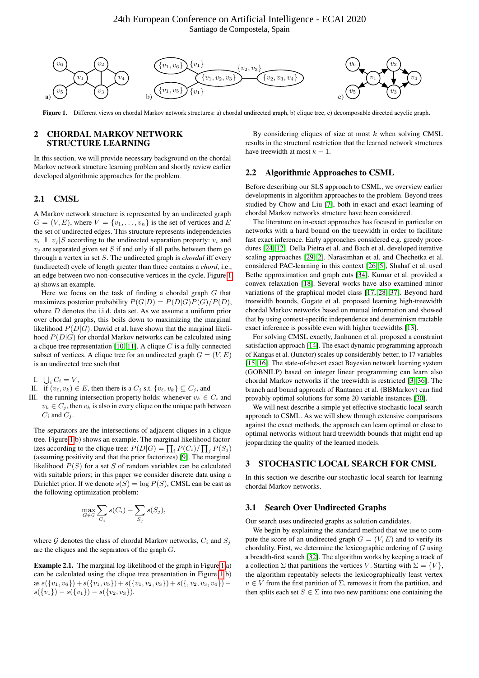

Figure 1. Different views on chordal Markov network structures: a) chordal undirected graph, b) clique tree, c) decomposable directed acyclic graph.

### <span id="page-1-0"></span>2 CHORDAL MARKOV NETWORK STRUCTURE LEARNING

In this section, we will provide necessary background on the chordal Markov network structure learning problem and shortly review earlier developed algorithmic approaches for the problem.

## 2.1 CMSL

A Markov network structure is represented by an undirected graph  $G = (V, E)$ , where  $V = \{v_1, \ldots, v_n\}$  is the set of vertices and E the set of undirected edges. This structure represents independencies  $v_i \perp v_j$  S according to the undirected separation property:  $v_i$  and  $v_i$  are separated given set S if and only if all paths between them go through a vertex in set S. The undirected graph is *chordal* iff every (undirected) cycle of length greater than three contains a *chord*, i.e., an edge between two non-consecutive vertices in the cycle. Figure [1](#page-1-2) a) shows an example.

Here we focus on the task of finding a chordal graph  $G$  that maximizes posterior probability  $P(G|D) = P(D|G)P(G)/P(D)$ , where  $D$  denotes the i.i.d. data set. As we assume a uniform prior over chordal graphs, this boils down to maximizing the marginal likelihood  $P(D|G)$ . Dawid et al. have shown that the marginal likelihood  $P(D|G)$  for chordal Markov networks can be calculated using a clique tree representation [\[10,](#page-6-1) [11\]](#page-6-13). A clique  $C$  is a fully connected subset of vertices. A clique tree for an undirected graph  $G = (V, E)$ is an undirected tree such that

```
I. \bigcup_i C_i = V,
```
- II. if  $(v_\ell, v_k) \in E$ , then there is a  $C_j$  s.t.  $\{v_\ell, v_k\} \subseteq C_j$ , and
- III. the running intersection property holds: whenever  $v_k \in C_i$  and  $v_k \in C_j$ , then  $v_k$  is also in every clique on the unique path between  $C_i$  and  $C_i$ .

The separators are the intersections of adjacent cliques in a clique tree. Figure [1](#page-1-2) b) shows an example. The marginal likelihood factorizes according to the clique tree:  $P(D|G) = \prod_i P(C_i) / \prod_j P(S_j)$ (assuming positivity and that the prior factorizes) [\[9\]](#page-6-10). The marginal likelihood  $P(S)$  for a set S of random variables can be calculated with suitable priors; in this paper we consider discrete data using a Dirichlet prior. If we denote  $s(S) = \log P(S)$ , CMSL can be cast as the following optimization problem:

$$
\max_{G \in \mathcal{G}} \sum_{C_i} s(C_i) - \sum_{S_j} s(S_j),
$$

where G denotes the class of chordal Markov networks,  $C_i$  and  $S_j$ are the cliques and the separators of the graph G.

Example 2.1. The marginal log-likelihood of the graph in Figure [1](#page-1-2) a) can be calculated using the clique tree presentation in Figure [1](#page-1-2) b) as  $s({v_1, v_6}) + s({v_1, v_5}) + s({v_1, v_2, v_3}) + s({v_2, v_3, v_4})$  $s({v_1}) - s({v_1}) - s({v_2,v_3}).$ 

<span id="page-1-2"></span>By considering cliques of size at most  $k$  when solving CMSL results in the structural restriction that the learned network structures have treewidth at most  $k - 1$ .

## 2.2 Algorithmic Approaches to CSML

Before describing our SLS approach to CSML, we overview earlier developments in algorithm approaches to the problem. Beyond trees studied by Chow and Liu [\[7\]](#page-6-6), both in-exact and exact learning of chordal Markov networks structure have been considered.

The literature on in-exact approaches has focused in particular on networks with a hard bound on the treewidth in order to facilitate fast exact inference. Early approaches considered e.g. greedy procedures [\[24,](#page-7-5) [12\]](#page-6-2). Della Pietra et al. and Bach et al. developed iterative scaling approaches [\[29,](#page-7-6) [2\]](#page-6-3). Narasimhan et al. and Chechetka et al. considered PAC-learning in this context [\[26,](#page-7-7) [5\]](#page-6-4), Shahaf et al. used Bethe approximation and graph cuts [\[34\]](#page-7-8). Kumar et al. provided a convex relaxation [\[18\]](#page-7-9). Several works have also examined minor variations of the graphical model class [\[17,](#page-7-15) [28,](#page-7-16) [37\]](#page-7-17). Beyond hard treewidth bounds, Gogate et al. proposed learning high-treewidth chordal Markov networks based on mutual information and showed that by using context-specific independence and determinism tractable exact inference is possible even with higher treewidths [\[13\]](#page-6-5).

For solving CMSL exactly, Janhunen et al. proposed a constraint satisfaction approach [\[14\]](#page-6-7). The exact dynamic programming approach of Kangas et al. (Junctor) scales up considerably better, to 17 variables [\[15,](#page-6-8) [16\]](#page-7-18). The state-of-the-art exact Bayesian network learning system (GOBNILP) based on integer linear programming can learn also chordal Markov networks if the treewidth is restricted [\[3,](#page-6-9) [36\]](#page-7-19). The branch and bound approach of Rantanen et al. (BBMarkov) can find provably optimal solutions for some 20 variable instances [\[30\]](#page-7-10).

We will next describe a simple yet effective stochastic local search approach to CSML. As we will show through extensive comparisons against the exact methods, the approach can learn optimal or close to optimal networks without hard treewidth bounds that might end up jeopardizing the quality of the learned models.

## <span id="page-1-1"></span>3 STOCHASTIC LOCAL SEARCH FOR CMSL

In this section we describe our stochastic local search for learning chordal Markov networks.

#### 3.1 Search Over Undirected Graphs

Our search uses undirected graphs as solution candidates.

We begin by explaining the standard method that we use to compute the score of an undirected graph  $G = (V, E)$  and to verify its chordality. First, we determine the lexicographic ordering of G using a breadth-first search [\[32\]](#page-7-20). The algorithm works by keeping a track of a collection  $\Sigma$  that partitions the vertices V. Starting with  $\Sigma = \{V\},\$ the algorithm repeatably selects the lexicographically least vertex  $v \in V$  from the first partition of  $\Sigma$ , removes it from the partition, and then splits each set  $S \in \Sigma$  into two new partitions; one containing the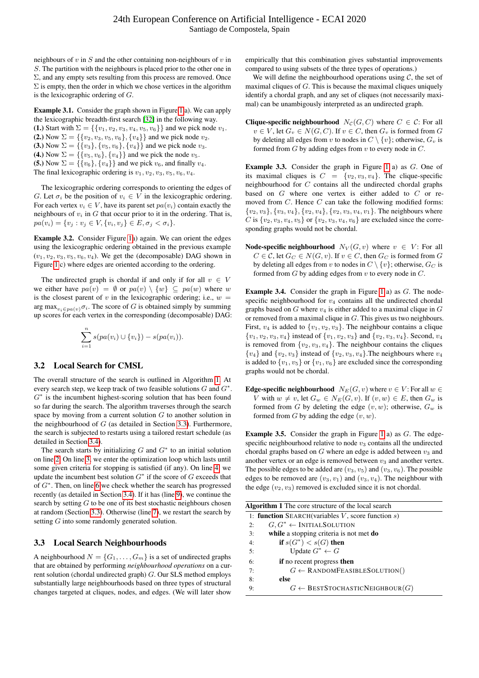neighbours of  $v$  in  $S$  and the other containing non-neighbours of  $v$  in S. The partition with the neighbours is placed prior to the other one in  $\Sigma$ , and any empty sets resulting from this process are removed. Once  $\Sigma$  is empty, then the order in which we chose vertices in the algorithm is the lexicographic ordering of G.

Example 3.1. Consider the graph shown in Figure [1](#page-1-2) a). We can apply the lexicographic breadth-first search [\[32\]](#page-7-20) in the following way. (1.) Start with  $\Sigma = \{\{v_1, v_2, v_3, v_4, v_5, v_6\}\}\$ and we pick node  $v_1$ . (2.) Now  $\Sigma = \{\{v_2, v_3, v_5, v_6\}, \{v_4\}\}\$ and we pick node  $v_2$ . (3.) Now  $\Sigma = \{\{v_3\}, \{v_5, v_6\}, \{v_4\}\}\$ and we pick node  $v_3$ . (4.) Now  $\Sigma = \{\{v_5, v_6\}, \{v_4\}\}\$ and we pick the node  $v_5$ . (5.) Now  $\Sigma = \{\{v_6\}, \{v_4\}\}\$ and we pick  $v_6$ , and finally  $v_4$ .

The final lexicographic ordering is  $v_1, v_2, v_3, v_5, v_6, v_4$ .

The lexicographic ordering corresponds to orienting the edges of G. Let  $\sigma_i$  be the position of  $v_i \in V$  in the lexicographic ordering. For each vertex  $v_i \in V$ , have its parent set  $pa(v_i)$  contain exactly the neighbours of  $v_i$  in  $G$  that occur prior to it in the ordering. That is,  $pa(v_i) = \{v_j : v_j \in V, \{v_i, v_j\} \in E, \sigma_j < \sigma_i\}.$ 

Example 3.2. Consider Figure [1a](#page-1-2)) again. We can orient the edges using the lexicographic ordering obtained in the previous example  $(v_1, v_2, v_3, v_5, v_6, v_4)$ . We get the (decomposable) DAG shown in Figure [1](#page-1-2) c) where edges are oriented according to the ordering.

The undirected graph is chordal if and only if for all  $v \in V$ we either have  $pa(v) = \emptyset$  or  $pa(v) \setminus \{w\} \subseteq pa(w)$  where w is the closest parent of v in the lexicographic ordering; i.e.,  $w =$ arg max $v_{v_i \in pa(v)}\sigma_i$ . The score of G is obtained simply by summing up scores for each vertex in the corresponding (decomposable) DAG:

$$
\sum_{i=1}^n s(pa(v_i) \cup \{v_i\}) - s(pa(v_i)).
$$

# <span id="page-2-2"></span>3.2 Local Search for CMSL

The overall structure of the search is outlined in Algorithm [1.](#page-2-0) At every search step, we keep track of two feasible solutions  $G$  and  $G^*$ .  $G^*$  is the incumbent highest-scoring solution that has been found so far during the search. The algorithm traverses through the search space by moving from a current solution  $G$  to another solution in the neighbourhood of  $G$  (as detailed in Section [3.3\)](#page-2-1). Furthermore, the search is subjected to restarts using a tailored restart schedule (as detailed in Section [3.4\)](#page-3-2).

The search starts by initializing  $G$  and  $G^*$  to an initial solution on line [2.](#page-2-2) On line [3,](#page-2-2) we enter the optimization loop which lasts until some given criteria for stopping is satisfied (if any). On line [4,](#page-2-2) we update the incumbent best solution  $G^*$  if the score of  $G$  exceeds that of  $G^*$ . Then, on line [6](#page-2-2) we check whether the search has progressed recently (as detailed in Section [3.4\)](#page-3-2). If it has (line [9\)](#page-2-2), we continue the search by setting  $G$  to be one of its best stochastic neighbours chosen at random (Section [3.3\)](#page-2-1). Otherwise (line [7\)](#page-2-2), we restart the search by setting G into some randomly generated solution.

# <span id="page-2-1"></span>3.3 Local Search Neighbourhoods

A neighbourhood  $N = \{G_1, \ldots, G_m\}$  is a set of undirected graphs that are obtained by performing *neighbourhood operations* on a current solution (chordal undirected graph) G. Our SLS method employs substantially large neighbourhoods based on three types of structural changes targeted at cliques, nodes, and edges. (We will later show

empirically that this combination gives substantial improvements compared to using subsets of the three types of operations.)

We will define the neighbourhood operations using  $C$ , the set of maximal cliques of  $G$ . This is because the maximal cliques uniquely identify a chordal graph, and any set of cliques (not necessarily maximal) can be unambigously interpreted as an undirected graph.

**Clique-specific neighbourhood**  $N_c(G, C)$  where  $C \in \mathcal{C}$ : For all  $v \in V$ , let  $G_v \in N(G, C)$ . If  $v \in C$ , then  $G_v$  is formed from G by deleting all edges from v to nodes in  $C \setminus \{v\}$ ; otherwise,  $G_v$  is formed from  $G$  by adding edges from  $v$  to every node in  $C$ .

**Example 3.3.** Consider the graph in Figure [1](#page-1-2) a) as  $G$ . One of its maximal cliques is  $C = \{v_2, v_3, v_4\}$ . The clique-specific neighbourhood for C contains all the undirected chordal graphs based on G where one vertex is either added to C or removed from  $C$ . Hence  $C$  can take the following modified forms:  ${v_2, v_3}, {v_3, v_4}, {v_2, v_4}, {v_2, v_3, v_4, v_1}.$  The neighbours where C is  $\{v_2, v_3, v_4, v_5\}$  or  $\{v_2, v_3, v_4, v_6\}$  are excluded since the corresponding graphs would not be chordal.

**Node-specific neighbourhood**  $N_V(G, v)$  where  $v \in V$ : For all  $C \in \mathcal{C}$ , let  $G_C \in N(G, v)$ . If  $v \in C$ , then  $G_C$  is formed from  $G$ by deleting all edges from v to nodes in  $C \setminus \{v\}$ ; otherwise,  $G_C$  is formed from  $G$  by adding edges from  $v$  to every node in  $C$ .

**Example 3.4.** Consider the graph in Figure [1](#page-1-2) a) as  $G$ . The nodespecific neighbourhood for  $v_4$  contains all the undirected chordal graphs based on  $G$  where  $v_4$  is either added to a maximal clique in  $G$ or removed from a maximal clique in G. This gives us two neighbours. First,  $v_4$  is added to  $\{v_1, v_2, v_3\}$ . The neighbour contains a clique  $\{v_1, v_2, v_3, v_4\}$  instead of  $\{v_1, v_2, v_3\}$  and  $\{v_2, v_3, v_4\}$ . Second,  $v_4$ is removed from  $\{v_2, v_3, v_4\}$ . The neighbour contains the cliques  ${v_4}$  and  ${v_2, v_3}$  instead of  ${v_2, v_3, v_4}$ . The neighbours where  $v_4$ is added to  $\{v_1, v_5\}$  or  $\{v_1, v_6\}$  are excluded since the corresponding graphs would not be chordal.

**Edge-specific neighbourhood**  $N_E(G, v)$  where  $v \in V$ : For all  $w \in$ V with  $w \neq v$ , let  $G_w \in N_E(G, v)$ . If  $(v, w) \in E$ , then  $G_w$  is formed from G by deleting the edge  $(v, w)$ ; otherwise,  $G_w$  is formed from  $G$  by adding the edge  $(v, w)$ .

**Example 3.5.** Consider the graph in Figure [1](#page-1-2) a) as  $G$ . The edgespecific neighbourhood relative to node  $v_3$  contains all the undirected chordal graphs based on  $G$  where an edge is added between  $v_3$  and another vertex or an edge is removed between  $v_3$  and another vertex. The possible edges to be added are  $(v_3, v_5)$  and  $(v_3, v_6)$ . The possible edges to be removed are  $(v_3, v_1)$  and  $(v_3, v_4)$ . The neighbour with the edge  $(v_2, v_3)$  removed is excluded since it is not chordal.

<span id="page-2-0"></span>

| <b>Algorithm 1</b> The core structure of the local search |  |  |  |  |  |  |  |
|-----------------------------------------------------------|--|--|--|--|--|--|--|
| 1: <b>function</b> SEARCH(variables V, score function s)  |  |  |  |  |  |  |  |
| $G, G^* \leftarrow \text{INITIALSOLUTION}$<br>2:          |  |  |  |  |  |  |  |
| while a stopping criteria is not met do<br>3:             |  |  |  |  |  |  |  |
| if $s(G^*) < s(G)$ then<br>4:                             |  |  |  |  |  |  |  |
| Update $G^* \leftarrow G$<br>5:                           |  |  |  |  |  |  |  |
| <b>if</b> no recent progress then<br>6:                   |  |  |  |  |  |  |  |
| $G \leftarrow$ RANDOMFEASIBLESOLUTION()<br>$7\cdot$       |  |  |  |  |  |  |  |
| else<br>8:                                                |  |  |  |  |  |  |  |
| $G \leftarrow$ BESTSTOCHASTICNEIGHBOUR(G)<br>9:           |  |  |  |  |  |  |  |
|                                                           |  |  |  |  |  |  |  |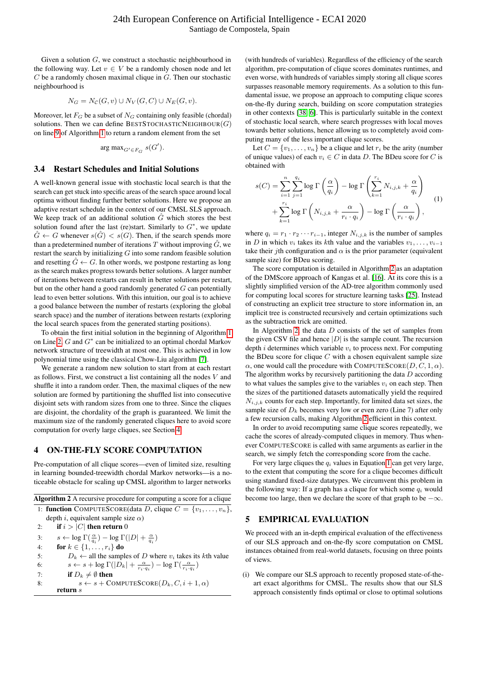Given a solution  $G$ , we construct a stochastic neighbourhood in the following way. Let  $v \in V$  be a randomly chosen node and let  $C$  be a randomly chosen maximal clique in  $G$ . Then our stochastic neighbourhood is

$$
N_G = N_{\mathcal{C}}(G, v) \cup N_V(G, C) \cup N_E(G, v).
$$

Moreover, let  $F_G$  be a subset of  $N_G$  containing only feasible (chordal) solutions. Then we can define BESTSTOCHASTICNEIGHBOUR $(G)$ on line [9](#page-2-2) of Algorithm [1](#page-2-0) to return a random element from the set

$$
\arg\mathop{\max}_{G' \in {\cal F}_G} \, s(G').
$$

#### <span id="page-3-2"></span>3.4 Restart Schedules and Initial Solutions

A well-known general issue with stochastic local search is that the search can get stuck into specific areas of the search space around local optima without finding further better solutions. Here we propose an adaptive restart schedule in the context of our CMSL SLS approach. We keep track of an additional solution  $\hat{G}$  which stores the best solution found after the last (re)start. Similarly to  $G^*$ , we update  $\hat{G} \leftarrow G$  whenever  $s(\hat{G}) < s(G)$ . Then, if the search spends more than a predetermined number of iterations T without improving  $\hat{G}$ , we restart the search by initializing G into some random feasible solution and resetting  $\hat{G} \leftarrow G$ . In other words, we postpone restarting as long as the search makes progress towards better solutions. A larger number of iterations between restarts can result in better solutions per restart, but on the other hand a good randomly generated  $G$  can potentially lead to even better solutions. With this intuition, our goal is to achieve a good balance between the number of restarts (exploring the global search space) and the number of iterations between restarts (exploring the local search spaces from the generated starting positions).

To obtain the first initial solution in the beginning of Algorithm [1](#page-2-0) on Line [2,](#page-2-2)  $G$  and  $G^*$  can be initialized to an optimal chordal Markov network structure of treewidth at most one. This is achieved in low polynomial time using the classical Chow-Liu algorithm [\[7\]](#page-6-6).

We generate a random new solution to start from at each restart as follows. First, we construct a list containing all the nodes  $V$  and shuffle it into a random order. Then, the maximal cliques of the new solution are formed by partitioning the shuffled list into consecutive disjoint sets with random sizes from one to three. Since the cliques are disjoint, the chordality of the graph is guaranteed. We limit the maximum size of the randomly generated cliques here to avoid score computation for overly large cliques, see Section [4.](#page-3-0)

#### <span id="page-3-0"></span>4 ON-THE-FLY SCORE COMPUTATION

Pre-computation of all clique scores—even of limited size, resulting in learning bounded-treewidth chordal Markov networks—is a noticeable obstacle for scaling up CMSL algorithm to larger networks

<span id="page-3-3"></span>Algorithm 2 A recursive procedure for computing a score for a clique 1: function COMPUTESCORE(data D, clique  $C = \{v_1, \ldots, v_n\}$ , depth *i*, equivalent sample size  $\alpha$ ) 2: if  $i > |C|$  then return 0 3:  $s \leftarrow \log \Gamma(\frac{\alpha}{q_i}) - \log \Gamma(|D| + \frac{\alpha}{q_i})$ 4: **for**  $k \in \{1, ..., r_i\}$  **do** 5:  $D_k \leftarrow$  all the samples of D where  $v_i$  takes its kth value 6:  $s \leftarrow s + \log \Gamma(|D_k| + \frac{\alpha}{r_i \cdot q_i}) - \log \Gamma(\frac{\alpha}{r_i \cdot q_i})$ 7: if  $D_k \neq \emptyset$  then 8:  $s \leftarrow s + \text{COMPUTEScore}(D_k, C, i + 1, \alpha)$ return s

(with hundreds of variables). Regardless of the efficiency of the search algorithm, pre-computation of clique scores dominates runtimes, and even worse, with hundreds of variables simply storing all clique scores surpasses reasonable memory requirements. As a solution to this fundamental issue, we propose an approach to computing clique scores on-the-fly during search, building on score computation strategies in other contexts [\[38,](#page-7-21) [6\]](#page-6-14). This is particularly suitable in the context of stochastic local search, where search progresses with local moves towards better solutions, hence allowing us to completely avoid computing many of the less important clique scores.

Let  $C = \{v_1, \ldots, v_n\}$  be a clique and let  $r_i$  be the arity (number of unique values) of each  $v_i \in C$  in data D. The BDeu score for C is obtained with

<span id="page-3-4"></span>
$$
s(C) = \sum_{i=1}^{n} \sum_{j=1}^{q_i} \log \Gamma\left(\frac{\alpha}{q_i}\right) - \log \Gamma\left(\sum_{k=1}^{r_i} N_{i,j,k} + \frac{\alpha}{q_i}\right) + \sum_{k=1}^{r_i} \log \Gamma\left(N_{i,j,k} + \frac{\alpha}{r_i \cdot q_i}\right) - \log \Gamma\left(\frac{\alpha}{r_i \cdot q_i}\right),
$$
\n(1)

where  $q_i = r_1 \cdot r_2 \cdots r_{i-1}$ , integer  $N_{i,j,k}$  is the number of samples in D in which  $v_i$  takes its kth value and the variables  $v_1, \ldots, v_{i-1}$ take their jth configuration and  $\alpha$  is the prior parameter (equivalent sample size) for BDeu scoring.

The score computation is detailed in Algorithm [2](#page-3-3) as an adaptation of the DMScore approach of Kangas et al. [\[16\]](#page-7-18). At its core this is a slightly simplified version of the AD-tree algorithm commonly used for computing local scores for structure learning tasks [\[25\]](#page-7-22). Instead of constructing an explicit tree structure to store information in, an implicit tree is constructed recursively and certain optimizations such as the subtraction trick are omitted.

In Algorithm [2,](#page-3-3) the data  $D$  consists of the set of samples from the given CSV file and hence  $|D|$  is the sample count. The recursion depth  $i$  determines which variable  $v_i$  to process next. For computing the BDeu score for clique  $C$  with a chosen equivalent sample size  $\alpha$ , one would call the procedure with COMPUTESCORE( $D, C, 1, \alpha$ ). The algorithm works by recursively partitioning the data  $D$  according to what values the samples give to the variables  $v_i$  on each step. Then the sizes of the partitioned datasets automatically yield the required  $N_{i,j,k}$  counts for each step. Importantly, for limited data set sizes, the sample size of  $D_k$  becomes very low or even zero (Line 7) after only a few recursion calls, making Algorithm [2](#page-3-3) efficient in this context.

In order to avoid recomputing same clique scores repeatedly, we cache the scores of already-computed cliques in memory. Thus whenever COMPUTESCORE is called with same arguments as earlier in the search, we simply fetch the corresponding score from the cache.

For very large cliques the  $q_i$  values in Equation [1](#page-3-4) can get very large, to the extent that computing the score for a clique becomes difficult using standard fixed-size datatypes. We circumvent this problem in the following way: If a graph has a clique for which some  $q_i$  would become too large, then we declare the score of that graph to be  $-\infty$ .

#### <span id="page-3-1"></span>5 EMPIRICAL EVALUATION

We proceed with an in-depth empirical evaluation of the effectiveness of our SLS approach and on-the-fly score computation on CMSL instances obtained from real-world datasets, focusing on three points of views.

(i) We compare our SLS approach to recently proposed state-of-theart exact algorithms for CMSL. The results show that our SLS approach consistently finds optimal or close to optimal solutions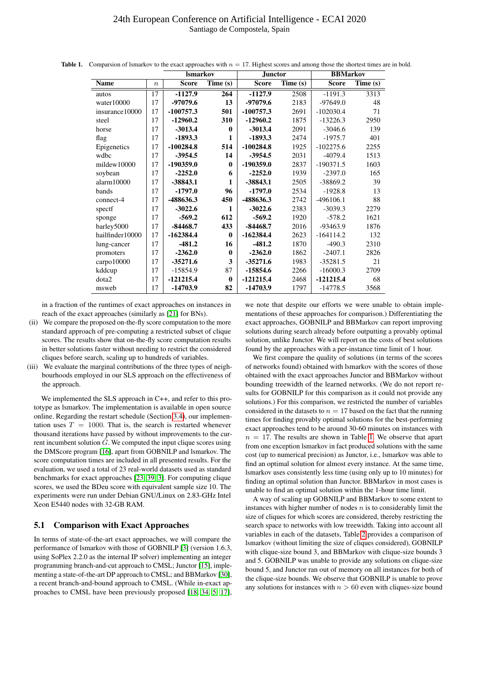# 24th European Conference on Artificial Intelligence - ECAI 2020 Santiago de Compostela, Spain

|                 |                  | <b>Ismarkov</b> |              | <b>Junctor</b> |          | <b>BBMarkov</b> |          |  |
|-----------------|------------------|-----------------|--------------|----------------|----------|-----------------|----------|--|
| Name            | $\boldsymbol{n}$ | <b>Score</b>    | Time (s)     | <b>Score</b>   | Time (s) | <b>Score</b>    | Time (s) |  |
| autos           | 17               | $-1127.9$       | 264          | $-1127.9$      | 2508     | $-1191.3$       | 3313     |  |
| water10000      | 17               | $-97079.6$      | 13           | $-97079.6$     | 2183     | $-97649.0$      | 48       |  |
| insurance10000  | 17               | $-100757.3$     | 501          | $-100757.3$    | 2691     | $-102030.4$     | 71       |  |
| steel           | 17               | $-12960.2$      | 310          | $-12960.2$     | 1875     | $-13226.3$      | 2950     |  |
| horse           | 17               | $-3013.4$       | $\mathbf{0}$ | $-3013.4$      | 2091     | $-3046.6$       | 139      |  |
| flag            | 17               | -1893.3         | 1            | -1893.3        | 2474     | $-1975.7$       | 401      |  |
| Epigenetics     | 17               | $-100284.8$     | 514          | $-100284.8$    | 1925     | $-102275.6$     | 2255     |  |
| wdbc            | 17               | $-3954.5$       | 14           | $-3954.5$      | 2031     | $-4079.4$       | 1513     |  |
| mildew10000     | 17               | $-190359.0$     | $\bf{0}$     | $-190359.0$    | 2837     | $-190371.5$     | 1603     |  |
| soybean         | 17               | $-2252.0$       | 6            | $-2252.0$      | 1939     | $-2397.0$       | 165      |  |
| alarm10000      | 17               | $-38843.1$      | 1            | $-38843.1$     | 2505     | $-38869.2$      | 39       |  |
| bands           | 17               | $-1797.0$       | 96           | $-1797.0$      | 2534     | $-1928.8$       | 13       |  |
| connect-4       | 17               | -488636.3       | 450          | -488636.3      | 2742     | $-496106.1$     | 88       |  |
| spectf          | 17               | $-3022.6$       | 1            | $-3022.6$      | 2383     | $-3039.3$       | 2279     |  |
| sponge          | 17               | $-569.2$        | 612          | $-569.2$       | 1920     | $-578.2$        | 1621     |  |
| barley5000      | 17               | $-84468.7$      | 433          | $-84468.7$     | 2016     | $-93463.9$      | 1876     |  |
| hailfinder10000 | 17               | $-162384.4$     | $\mathbf{0}$ | $-162384.4$    | 2623     | $-164114.2$     | 132      |  |
| lung-cancer     | 17               | $-481.2$        | 16           | $-481.2$       | 1870     | $-490.3$        | 2310     |  |
| promoters       | 17               | $-2362.0$       | $\mathbf{0}$ | $-2362.0$      | 1862     | $-2407.1$       | 2826     |  |
| carpo10000      | 17               | $-35271.6$      | 3            | $-35271.6$     | 1983     | $-35281.5$      | 21       |  |
| kddcup          | 17               | $-15854.9$      | 87           | $-15854.6$     | 2266     | $-16000.3$      | 2709     |  |
| dota2           | 17               | $-121215.4$     | $\bf{0}$     | $-121215.4$    | 2468     | $-121215.4$     | 68       |  |
| msweb           | 17               | $-14703.9$      | 82           | $-14703.9$     | 1797     | $-14778.5$      | 3568     |  |

<span id="page-4-0"></span>**Table 1.** Comparsion of Ismarkov to the exact approaches with  $n = 17$ . Highest scores and among those the shortest times are in bold.

in a fraction of the runtimes of exact approaches on instances in reach of the exact approaches (similarly as [\[21\]](#page-7-23) for BNs).

- (ii) We compare the proposed on-the-fly score computation to the more standard approach of pre-computing a restricted subset of clique scores. The results show that on-the-fly score computation results in better solutions faster without needing to restrict the considered cliques before search, scaling up to hundreds of variables.
- (iii) We evaluate the marginal contributions of the three types of neighbourhoods employed in our SLS approach on the effectiveness of the approach.

We implemented the SLS approach in C++, and refer to this prototype as lsmarkov. The implementation is available in open source online. Regarding the restart schedule (Section [3.4\)](#page-3-2), our implementation uses  $T = 1000$ . That is, the search is restarted whenever thousand iterations have passed by without improvements to the current incumbent solution  $\hat{G}$ . We computed the input clique scores using the DMScore program [\[16\]](#page-7-18), apart from GOBNILP and lsmarkov. The score computation times are included in all presented results. For the evaluation, we used a total of 23 real-world datasets used as standard benchmarks for exact approaches [\[23,](#page-7-24) [39,](#page-7-25) [3\]](#page-6-9). For computing clique scores, we used the BDeu score with equivalent sample size 10. The experiments were run under Debian GNU/Linux on 2.83-GHz Intel Xeon E5440 nodes with 32-GB RAM.

#### 5.1 Comparison with Exact Approaches

In terms of state-of-the-art exact approaches, we will compare the performance of lsmarkov with those of GOBNILP [\[3\]](#page-6-9) (version 1.6.3, using SoPlex 2.2.0 as the internal IP solver) implementing an integer programming branch-and-cut approach to CMSL; Junctor [\[15\]](#page-6-8), implementing a state-of-the-art DP approach to CMSL; and BBMarkov [\[30\]](#page-7-10), a recent branch-and-bound approach to CMSL. (While in-exact approaches to CMSL have been previously proposed [\[18,](#page-7-9) [34,](#page-7-8) [5,](#page-6-4) [17\]](#page-7-15),

we note that despite our efforts we were unable to obtain implementations of these approaches for comparison.) Differentiating the exact approaches, GOBNILP and BBMarkov can report improving solutions during search already before outputting a provably optimal solution, unlike Junctor. We will report on the costs of best solutions found by the approaches with a per-instance time limit of 1 hour.

We first compare the quality of solutions (in terms of the scores of networks found) obtained with lsmarkov with the scores of those obtained with the exact approaches Junctor and BBMarkov without bounding treewidth of the learned networks. (We do not report results for GOBNILP for this comparison as it could not provide any solutions.) For this comparison, we restricted the number of variables considered in the datasets to  $n = 17$  based on the fact that the running times for finding provably optimal solutions for the best-performing exact approaches tend to be around 30-60 minutes on instances with  $n = 17$ . The results are shown in Table [1.](#page-4-0) We observe that apart from one exception lsmarkov in fact produced solutions with the same cost (up to numerical precision) as Junctor, i.e., lsmarkov was able to find an optimal solution for almost every instance. At the same time, lsmarkov uses consistently less time (using only up to 10 minutes) for finding an optimal solution than Junctor. BBMarkov in most cases is unable to find an optimal solution within the 1-hour time limit.

A way of scaling up GOBNILP and BBMarkov to some extent to instances with higher number of nodes  $n$  is to considerably limit the size of cliques for which scores are considered, thereby restricting the search space to networks with low treewidth. Taking into account all variables in each of the datasets, Table [2](#page-5-0) provides a comparison of lsmarkov (without limiting the size of cliques considered), GOBNILP with clique-size bound 3, and BBMarkov with clique-size bounds 3 and 5. GOBNILP was unable to provide any solutions on clique-size bound 5, and Junctor ran out of memory on all instances for both of the clique-size bounds. We observe that GOBNILP is unable to prove any solutions for instances with  $n > 60$  even with cliques-size bound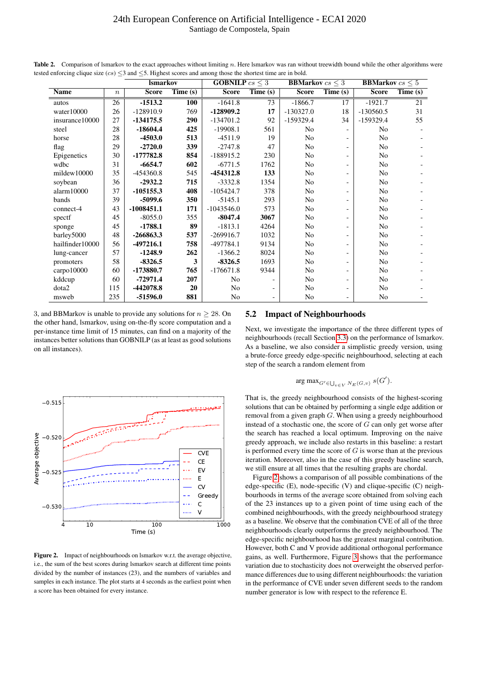# 24th European Conference on Artificial Intelligence - ECAI 2020 Santiago de Compostela, Spain

<span id="page-5-0"></span>Table 2. Comparison of Ismarkov to the exact approaches without limiting n. Here Ismarkov was ran without treewidth bound while the other algorithms were tested enforcing clique size  $(cs) \leq 3$  and  $\leq 5$ . Highest scores and among those the shortest time are in bold.

|                 |                  | <b>Ismarkov</b> |                              | <b>GOBNILP</b> $cs \leq 3$ |          | <b>BBMarkov</b> $cs \leq 3$ |                              | <b>BBMarkov</b> $cs \leq 5$ |          |
|-----------------|------------------|-----------------|------------------------------|----------------------------|----------|-----------------------------|------------------------------|-----------------------------|----------|
| <b>Name</b>     | $\boldsymbol{n}$ | <b>Score</b>    | $\overline{\text{Time}}$ (s) | <b>Score</b>               | Time (s) | <b>Score</b>                | $\overline{\text{Time}}$ (s) | <b>Score</b>                | Time (s) |
| autos           | 26               | $-1513.2$       | 100                          | $-1641.8$                  | 73       | $-1866.7$                   | 17                           | $-1921.7$                   | 21       |
| water10000      | 26               | $-128910.9$     | 769                          | -128909.2                  | 17       | $-130327.0$                 | 18                           | $-130560.5$                 | 31       |
| insurance 10000 | 27               | $-134175.5$     | 290                          | $-134701.2$                | 92       | $-159329.4$                 | 34                           | $-159329.4$                 | 55       |
| steel           | 28               | $-18604.4$      | 425                          | $-19908.1$                 | 561      | No                          |                              | No                          |          |
| horse           | 28               | $-4503.0$       | 513                          | $-4511.9$                  | 19       | No                          | $\overline{\phantom{a}}$     | No                          |          |
| flag            | 29               | $-2720.0$       | 339                          | $-2747.8$                  | 47       | No                          | $\blacksquare$               | No                          |          |
| Epigenetics     | 30               | $-177782.8$     | 854                          | $-188915.2$                | 230      | N <sub>o</sub>              | $\blacksquare$               | No                          |          |
| wdbc            | 31               | $-6654.7$       | 602                          | $-6771.5$                  | 1762     | No                          |                              | No                          |          |
| mildew10000     | 35               | -454360.8       | 545                          | -454312.8                  | 133      | N <sub>o</sub>              |                              | No                          |          |
| soybean         | 36               | $-2932.2$       | 715                          | $-3332.8$                  | 1354     | No                          |                              | No                          |          |
| alarm10000      | 37               | $-105155.3$     | 408                          | $-105424.7$                | 378      | N <sub>o</sub>              |                              | No                          |          |
| bands           | 39               | $-5099.6$       | 350                          | $-5145.1$                  | 293      | No                          |                              | No                          |          |
| connect-4       | 43               | $-1008451.1$    | 171                          | $-1043546.0$               | 573      | No                          | $\blacksquare$               | No                          |          |
| spectf          | 45               | $-8055.0$       | 355                          | $-8047.4$                  | 3067     | N <sub>o</sub>              | $\overline{\phantom{0}}$     | No                          |          |
| sponge          | 45               | $-1788.1$       | 89                           | $-1813.1$                  | 4264     | No                          | $\blacksquare$               | No                          |          |
| barley5000      | 48               | $-266863.3$     | 537                          | $-269916.7$                | 1032     | No                          | $\overline{\phantom{a}}$     | No                          |          |
| hailfinder10000 | 56               | -497216.1       | 758                          | $-497784.1$                | 9134     | No                          | $\overline{\phantom{a}}$     | No                          |          |
| lung-cancer     | 57               | $-1248.9$       | 262                          | $-1366.2$                  | 8024     | N <sub>o</sub>              |                              | No                          |          |
| promoters       | 58               | $-8326.5$       | 3                            | $-8326.5$                  | 1693     | N <sub>o</sub>              |                              | No                          |          |
| carpo10000      | 60               | -173880.7       | 765                          | $-176671.8$                | 9344     | No                          |                              | No                          |          |
| kddcup          | 60               | $-72971.4$      | 207                          | No                         |          | No                          |                              | No                          |          |
| dota2           | 115              | $-442078.8$     | 20                           | No                         |          | No                          |                              | No                          |          |
| msweb           | 235              | $-51596.0$      | 881                          | No                         |          | N <sub>o</sub>              | $\blacksquare$               | No                          |          |

3, and BBMarkov is unable to provide any solutions for  $n > 28$ . On the other hand, lsmarkov, using on-the-fly score computation and a per-instance time limit of 15 minutes, can find on a majority of the instances better solutions than GOBNILP (as at least as good solutions on all instances).



<span id="page-5-1"></span>Figure 2. Impact of neighbourhoods on lsmarkov w.r.t. the average objective, i.e., the sum of the best scores during lsmarkov search at different time points divided by the number of instances (23), and the numbers of variables and samples in each instance. The plot starts at 4 seconds as the earliest point when a score has been obtained for every instance.

### 5.2 Impact of Neighbourhoods

Next, we investigate the importance of the three different types of neighbourhoods (recall Section [3.3\)](#page-2-1) on the performance of lsmarkov. As a baseline, we also consider a simplistic greedy version, using a brute-force greedy edge-specific neighbourhood, selecting at each step of the search a random element from

$$
\arg\max\nolimits_{G' \in \bigcup_{v \in V} N_E(G,v)} s(G').
$$

That is, the greedy neighbourhood consists of the highest-scoring solutions that can be obtained by performing a single edge addition or removal from a given graph  $G$ . When using a greedy neighbourhood instead of a stochastic one, the score of  $G$  can only get worse after the search has reached a local optimum. Improving on the naive greedy approach, we include also restarts in this baseline: a restart is performed every time the score of  $G$  is worse than at the previous iteration. Moreover, also in the case of this greedy baseline search, we still ensure at all times that the resulting graphs are chordal.

Figure [2](#page-5-1) shows a comparison of all possible combinations of the edge-specific (E), node-specific (V) and clique-specific (C) neighbourhoods in terms of the average score obtained from solving each of the 23 instances up to a given point of time using each of the combined neighbourhoods, with the greedy neighbourhood strategy as a baseline. We observe that the combination CVE of all of the three neighbourhoods clearly outperforms the greedy neighbourhood. The edge-specific neighbourhood has the greatest marginal contribution. However, both C and V provide additional orthogonal performance gains, as well. Furthermore, Figure [3](#page-6-15) shows that the performance variation due to stochasticity does not overweight the observed performance differences due to using different neighbourhoods: the variation in the performance of CVE under seven different seeds to the random number generator is low with respect to the reference E.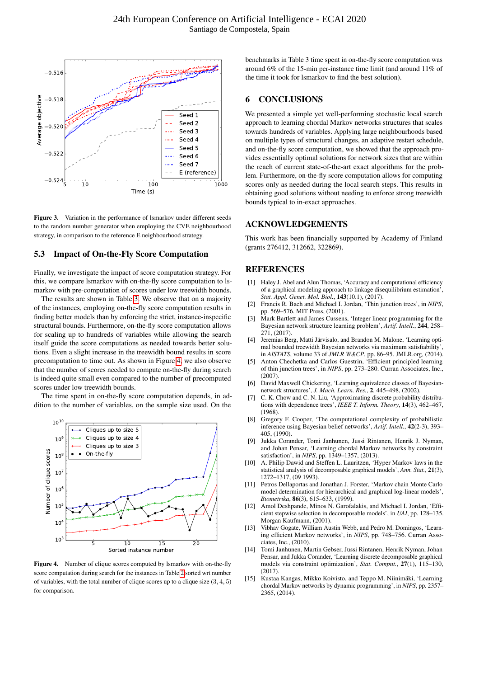

<span id="page-6-15"></span>Figure 3. Variation in the performance of lsmarkov under different seeds to the random number generator when employing the CVE neighbourhood strategy, in comparison to the reference E neighbourhood strategy.

#### 5.3 Impact of On-the-Fly Score Computation

Finally, we investigate the impact of score computation strategy. For this, we compare lsmarkov with on-the-fly score computation to lsmarkov with pre-computation of scores under low treewidth bounds.

The results are shown in Table [3.](#page-7-26) We observe that on a majority of the instances, employing on-the-fly score computation results in finding better models than by enforcing the strict, instance-inspecific structural bounds. Furthermore, on-the-fly score computation allows for scaling up to hundreds of variables while allowing the search itself guide the score computations as needed towards better solutions. Even a slight increase in the treewidth bound results in score precomputation to time out. As shown in Figure [4,](#page-6-16) we also observe that the number of scores needed to compute on-the-fly during search is indeed quite small even compared to the number of precomputed scores under low treewidth bounds.

The time spent in on-the-fly score computation depends, in addition to the number of variables, on the sample size used. On the



Figure 4. Number of clique scores computed by lsmarkov with on-the-fly score computation during search for the instances in Table [2](#page-5-0) sorted wrt number of variables, with the total number of clique scores up to a clique size  $(3, 4, 5)$ for comparison.

benchmarks in Table 3 time spent in on-the-fly score computation was around 6% of the 15-min per-instance time limit (and around 11% of the time it took for lsmarkov to find the best solution).

#### 6 CONCLUSIONS

We presented a simple yet well-performing stochastic local search approach to learning chordal Markov networks structures that scales towards hundreds of variables. Applying large neighbourhoods based on multiple types of structural changes, an adaptive restart schedule, and on-the-fly score computation, we showed that the approach provides essentially optimal solutions for network sizes that are within the reach of current state-of-the-art exact algorithms for the problem. Furthermore, on-the-fly score computation allows for computing scores only as needed during the local search steps. This results in obtaining good solutions without needing to enforce strong treewidth bounds typical to in-exact approaches.

## ACKNOWLEDGEMENTS

This work has been financially supported by Academy of Finland (grants 276412, 312662, 322869).

#### **REFERENCES**

- <span id="page-6-0"></span>[1] Haley J. Abel and Alun Thomas, 'Accuracy and computational efficiency of a graphical modeling approach to linkage disequilibrium estimation', *Stat. Appl. Genet. Mol. Biol.*, 143(10.1), (2017).
- <span id="page-6-3"></span>[2] Francis R. Bach and Michael I. Jordan, 'Thin junction trees', in *NIPS*, pp. 569–576. MIT Press, (2001).
- <span id="page-6-9"></span>[3] Mark Bartlett and James Cussens, 'Integer linear programming for the Bayesian network structure learning problem', *Artif. Intell.*, 244, 258– 271, (2017).
- <span id="page-6-11"></span>[4] Jeremias Berg, Matti Järvisalo, and Brandon M. Malone, 'Learning optimal bounded treewidth Bayesian networks via maximum satisfiability', in *AISTATS*, volume 33 of *JMLR W&CP*, pp. 86–95. JMLR.org, (2014).
- <span id="page-6-4"></span>[5] Anton Chechetka and Carlos Guestrin, 'Efficient principled learning of thin junction trees', in *NIPS*, pp. 273–280. Curran Associates, Inc.,  $(2007)$
- <span id="page-6-14"></span>[6] David Maxwell Chickering, 'Learning equivalence classes of Bayesiannetwork structures', *J. Mach. Learn. Res.*, 2, 445–498, (2002).
- <span id="page-6-6"></span>[7] C. K. Chow and C. N. Liu, 'Approximating discrete probability distributions with dependence trees', *IEEE T. Inform. Theory*, 14(3), 462–467, (1968).
- <span id="page-6-12"></span>[8] Gregory F. Cooper, 'The computational complexity of probabilistic inference using Bayesian belief networks', *Artif. Intell.*, 42(2-3), 393– 405, (1990).
- <span id="page-6-10"></span>[9] Jukka Corander, Tomi Janhunen, Jussi Rintanen, Henrik J. Nyman, and Johan Pensar, 'Learning chordal Markov networks by constraint satisfaction', in *NIPS*, pp. 1349–1357, (2013).
- <span id="page-6-1"></span>[10] A. Philip Dawid and Steffen L. Lauritzen, 'Hyper Markov laws in the statistical analysis of decomposable graphical models', *Ann. Stat.*, 21(3), 1272–1317, (09 1993).
- <span id="page-6-13"></span>[11] Petros Dellaportas and Jonathan J. Forster, 'Markov chain Monte Carlo model determination for hierarchical and graphical log-linear models', *Biometrika*, 86(3), 615–633, (1999).
- <span id="page-6-2"></span>[12] Amol Deshpande, Minos N. Garofalakis, and Michael I. Jordan, 'Efficient stepwise selection in decomposable models', in *UAI*, pp. 128–135. Morgan Kaufmann, (2001).
- <span id="page-6-5"></span>[13] Vibhav Gogate, William Austin Webb, and Pedro M. Domingos, 'Learning efficient Markov networks', in *NIPS*, pp. 748–756. Curran Associates, Inc., (2010).
- <span id="page-6-16"></span><span id="page-6-7"></span>[14] Tomi Janhunen, Martin Gebser, Jussi Rintanen, Henrik Nyman, Johan Pensar, and Jukka Corander, 'Learning discrete decomposable graphical models via constraint optimization', *Stat. Comput.*, 27(1), 115–130,  $(2017)$
- <span id="page-6-8"></span>[15] Kustaa Kangas, Mikko Koivisto, and Teppo M. Niinimäki, 'Learning chordal Markov networks by dynamic programming', in *NIPS*, pp. 2357– 2365, (2014).